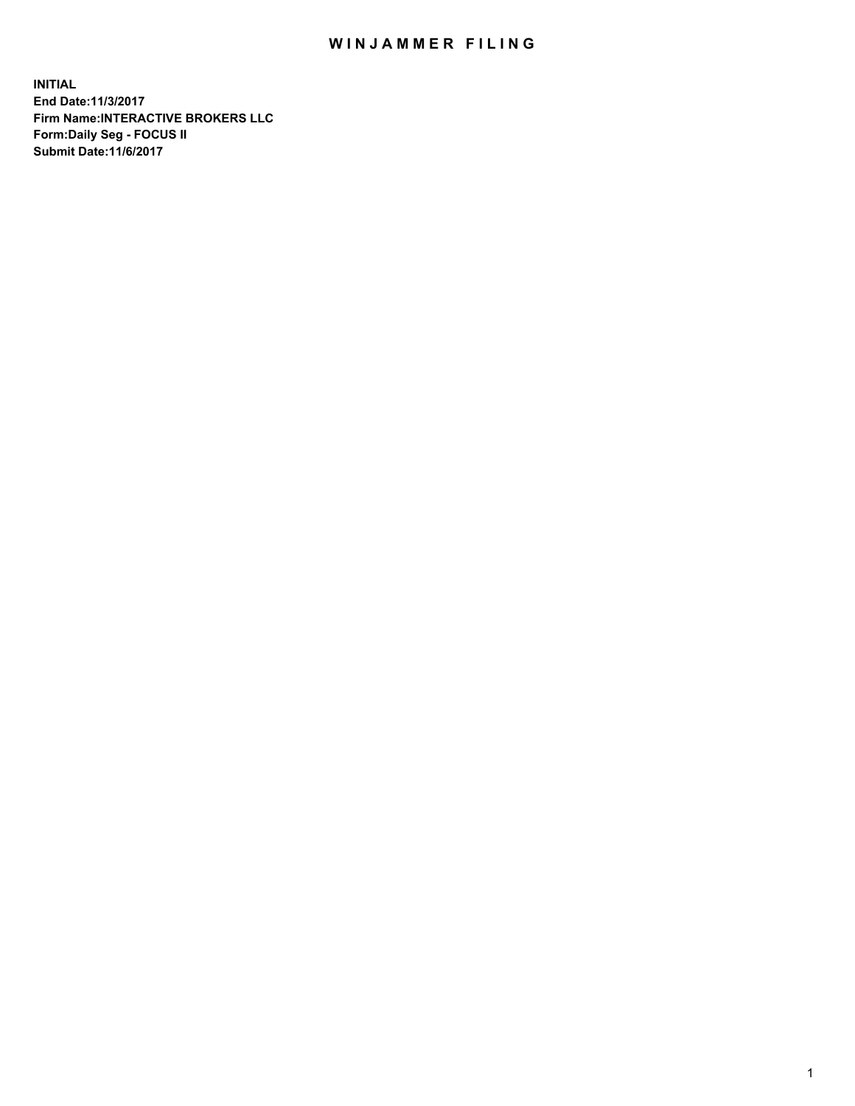## WIN JAMMER FILING

**INITIAL End Date:11/3/2017 Firm Name:INTERACTIVE BROKERS LLC Form:Daily Seg - FOCUS II Submit Date:11/6/2017**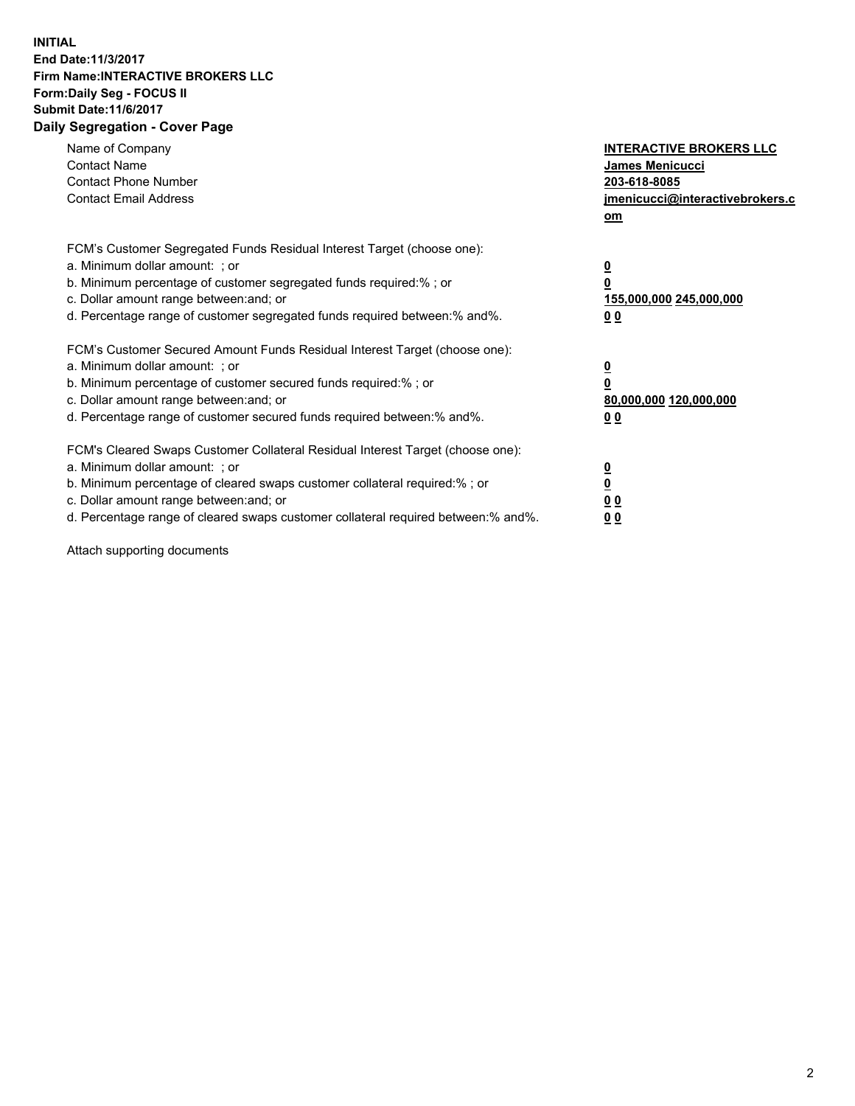## **INITIAL End Date:11/3/2017 Firm Name:INTERACTIVE BROKERS LLC Form:Daily Seg - FOCUS II Submit Date:11/6/2017 Daily Segregation - Cover Page**

| Name of Company<br><b>Contact Name</b><br><b>Contact Phone Number</b><br><b>Contact Email Address</b>                                                                                                                                                                                                                          | <b>INTERACTIVE BROKERS LLC</b><br><b>James Menicucci</b><br>203-618-8085<br>jmenicucci@interactivebrokers.c<br>om |
|--------------------------------------------------------------------------------------------------------------------------------------------------------------------------------------------------------------------------------------------------------------------------------------------------------------------------------|-------------------------------------------------------------------------------------------------------------------|
| FCM's Customer Segregated Funds Residual Interest Target (choose one):<br>a. Minimum dollar amount: ; or<br>b. Minimum percentage of customer segregated funds required:%; or<br>c. Dollar amount range between: and; or<br>d. Percentage range of customer segregated funds required between:% and%.                          | $\overline{\mathbf{0}}$<br>0<br>155,000,000 245,000,000<br>0 <sub>0</sub>                                         |
| FCM's Customer Secured Amount Funds Residual Interest Target (choose one):<br>a. Minimum dollar amount: ; or<br>b. Minimum percentage of customer secured funds required:%; or<br>c. Dollar amount range between: and; or<br>d. Percentage range of customer secured funds required between: % and %.                          | $\overline{\mathbf{0}}$<br>0<br>80,000,000 120,000,000<br>0 <sub>0</sub>                                          |
| FCM's Cleared Swaps Customer Collateral Residual Interest Target (choose one):<br>a. Minimum dollar amount: ; or<br>b. Minimum percentage of cleared swaps customer collateral required:% ; or<br>c. Dollar amount range between: and; or<br>d. Percentage range of cleared swaps customer collateral required between:% and%. | $\overline{\mathbf{0}}$<br>$\overline{\mathbf{0}}$<br>0 <sub>0</sub><br><u>00</u>                                 |

Attach supporting documents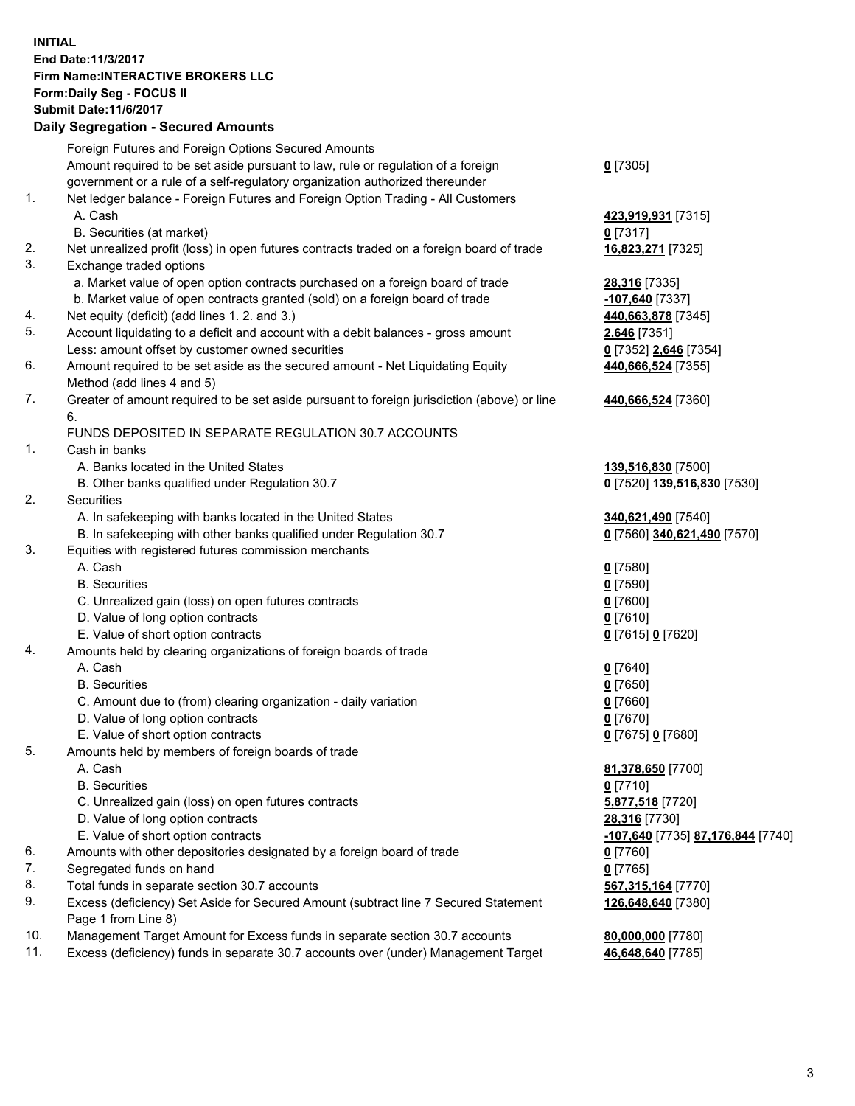## **INITIAL End Date:11/3/2017 Firm Name:INTERACTIVE BROKERS LLC Form:Daily Seg - FOCUS II Submit Date:11/6/2017**

|     | <b>Daily Segregation - Secured Amounts</b>                                                  |                                   |
|-----|---------------------------------------------------------------------------------------------|-----------------------------------|
|     | Foreign Futures and Foreign Options Secured Amounts                                         |                                   |
|     | Amount required to be set aside pursuant to law, rule or regulation of a foreign            | $0$ [7305]                        |
|     | government or a rule of a self-regulatory organization authorized thereunder                |                                   |
| 1.  | Net ledger balance - Foreign Futures and Foreign Option Trading - All Customers             |                                   |
|     | A. Cash                                                                                     | 423,919,931 [7315]                |
|     | B. Securities (at market)                                                                   | $0$ [7317]                        |
| 2.  | Net unrealized profit (loss) in open futures contracts traded on a foreign board of trade   | 16,823,271 [7325]                 |
| 3.  | Exchange traded options                                                                     |                                   |
|     | a. Market value of open option contracts purchased on a foreign board of trade              | 28,316 [7335]                     |
|     | b. Market value of open contracts granted (sold) on a foreign board of trade                | $-107,640$ [7337]                 |
| 4.  | Net equity (deficit) (add lines 1.2. and 3.)                                                | 440,663,878 [7345]                |
| 5.  | Account liquidating to a deficit and account with a debit balances - gross amount           | <b>2,646</b> [7351]               |
|     | Less: amount offset by customer owned securities                                            | 0 [7352] 2,646 [7354]             |
| 6.  | Amount required to be set aside as the secured amount - Net Liquidating Equity              | 440,666,524 [7355]                |
|     | Method (add lines 4 and 5)                                                                  |                                   |
| 7.  | Greater of amount required to be set aside pursuant to foreign jurisdiction (above) or line | 440,666,524 [7360]                |
|     | 6.                                                                                          |                                   |
|     | FUNDS DEPOSITED IN SEPARATE REGULATION 30.7 ACCOUNTS                                        |                                   |
| 1.  | Cash in banks                                                                               |                                   |
|     | A. Banks located in the United States                                                       | 139,516,830 [7500]                |
|     | B. Other banks qualified under Regulation 30.7                                              | 0 [7520] 139,516,830 [7530]       |
| 2.  | Securities                                                                                  |                                   |
|     | A. In safekeeping with banks located in the United States                                   | 340,621,490 [7540]                |
|     | B. In safekeeping with other banks qualified under Regulation 30.7                          | 0 [7560] 340,621,490 [7570]       |
| 3.  | Equities with registered futures commission merchants                                       |                                   |
|     | A. Cash                                                                                     | $0$ [7580]                        |
|     | <b>B.</b> Securities                                                                        | $0$ [7590]                        |
|     | C. Unrealized gain (loss) on open futures contracts                                         | $0$ [7600]                        |
|     | D. Value of long option contracts                                                           | $0$ [7610]                        |
|     | E. Value of short option contracts                                                          | 0 [7615] 0 [7620]                 |
| 4.  | Amounts held by clearing organizations of foreign boards of trade                           |                                   |
|     | A. Cash                                                                                     | $0$ [7640]                        |
|     | <b>B.</b> Securities                                                                        | $0$ [7650]                        |
|     | C. Amount due to (from) clearing organization - daily variation                             | $0$ [7660]                        |
|     | D. Value of long option contracts                                                           | $0$ [7670]                        |
|     | E. Value of short option contracts                                                          | 0 [7675] 0 [7680]                 |
| 5.  | Amounts held by members of foreign boards of trade                                          |                                   |
|     | A. Cash                                                                                     | 81,378,650 [7700]                 |
|     | <b>B.</b> Securities                                                                        | 0 [7710]                          |
|     | C. Unrealized gain (loss) on open futures contracts                                         | 5,877,518 [7720]                  |
|     | D. Value of long option contracts                                                           | 28,316 [7730]                     |
|     | E. Value of short option contracts                                                          | -107,640 [7735] 87,176,844 [7740] |
| 6.  | Amounts with other depositories designated by a foreign board of trade                      | $0$ [7760]                        |
| 7.  | Segregated funds on hand                                                                    | $0$ [7765]                        |
| 8.  | Total funds in separate section 30.7 accounts                                               | 567, 315, 164 [7770]              |
| 9.  | Excess (deficiency) Set Aside for Secured Amount (subtract line 7 Secured Statement         | 126,648,640 [7380]                |
|     | Page 1 from Line 8)                                                                         |                                   |
| 10. | Management Target Amount for Excess funds in separate section 30.7 accounts                 | 80,000,000 [7780]                 |
| 11. | Excess (deficiency) funds in separate 30.7 accounts over (under) Management Target          | 46,648,640 [7785]                 |
|     |                                                                                             |                                   |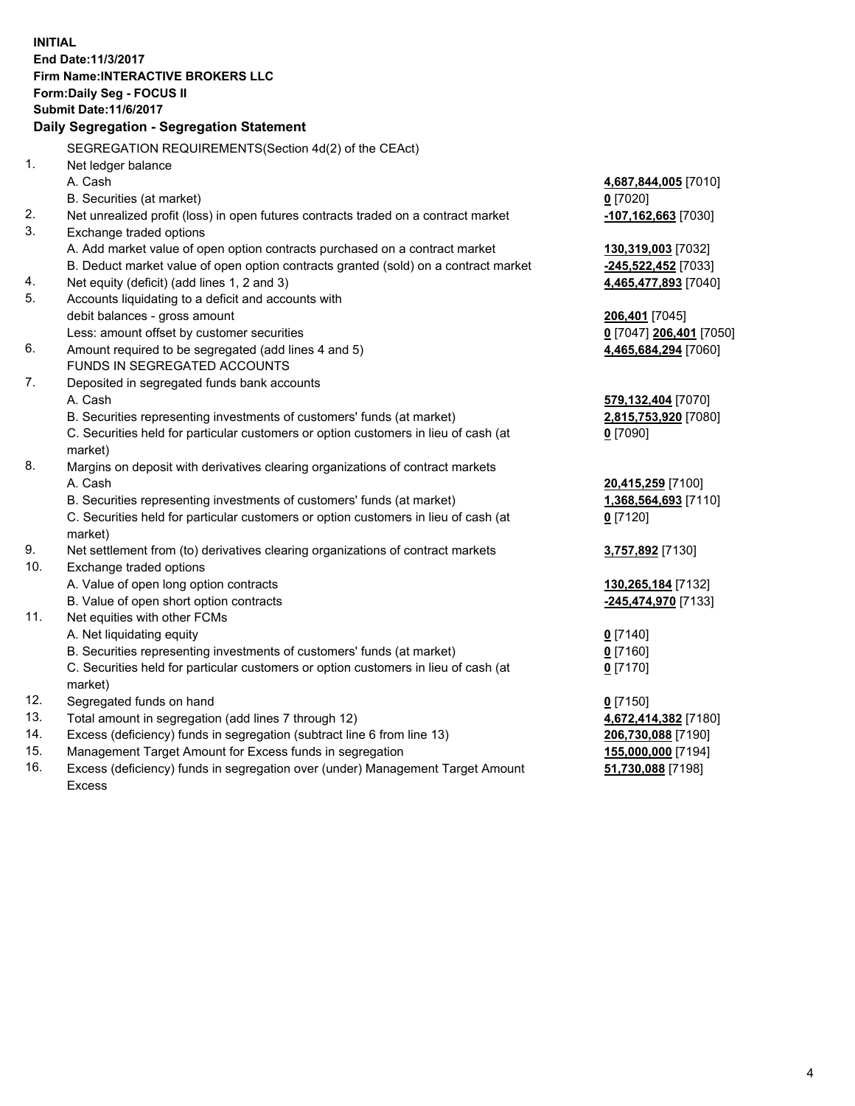**INITIAL End Date:11/3/2017 Firm Name:INTERACTIVE BROKERS LLC Form:Daily Seg - FOCUS II Submit Date:11/6/2017 Daily Segregation - Segregation Statement** SEGREGATION REQUIREMENTS(Section 4d(2) of the CEAct) 1. Net ledger balance A. Cash **4,687,844,005** [7010] B. Securities (at market) **0** [7020] 2. Net unrealized profit (loss) in open futures contracts traded on a contract market **-107,162,663** [7030] 3. Exchange traded options A. Add market value of open option contracts purchased on a contract market **130,319,003** [7032] B. Deduct market value of open option contracts granted (sold) on a contract market **-245,522,452** [7033] 4. Net equity (deficit) (add lines 1, 2 and 3) **4,465,477,893** [7040] 5. Accounts liquidating to a deficit and accounts with debit balances - gross amount **206,401** [7045] Less: amount offset by customer securities **0** [7047] **206,401** [7050] 6. Amount required to be segregated (add lines 4 and 5) **4,465,684,294** [7060] FUNDS IN SEGREGATED ACCOUNTS 7. Deposited in segregated funds bank accounts A. Cash **579,132,404** [7070] B. Securities representing investments of customers' funds (at market) **2,815,753,920** [7080] C. Securities held for particular customers or option customers in lieu of cash (at market) **0** [7090] 8. Margins on deposit with derivatives clearing organizations of contract markets A. Cash **20,415,259** [7100] B. Securities representing investments of customers' funds (at market) **1,368,564,693** [7110] C. Securities held for particular customers or option customers in lieu of cash (at market) **0** [7120] 9. Net settlement from (to) derivatives clearing organizations of contract markets **3,757,892** [7130] 10. Exchange traded options A. Value of open long option contracts **130,265,184** [7132] B. Value of open short option contracts **-245,474,970** [7133] 11. Net equities with other FCMs A. Net liquidating equity **0** [7140] B. Securities representing investments of customers' funds (at market) **0** [7160] C. Securities held for particular customers or option customers in lieu of cash (at market) **0** [7170] 12. Segregated funds on hand **0** [7150] 13. Total amount in segregation (add lines 7 through 12) **4,672,414,382** [7180] 14. Excess (deficiency) funds in segregation (subtract line 6 from line 13) **206,730,088** [7190] 15. Management Target Amount for Excess funds in segregation **155,000,000** [7194]

16. Excess (deficiency) funds in segregation over (under) Management Target Amount Excess

**51,730,088** [7198]